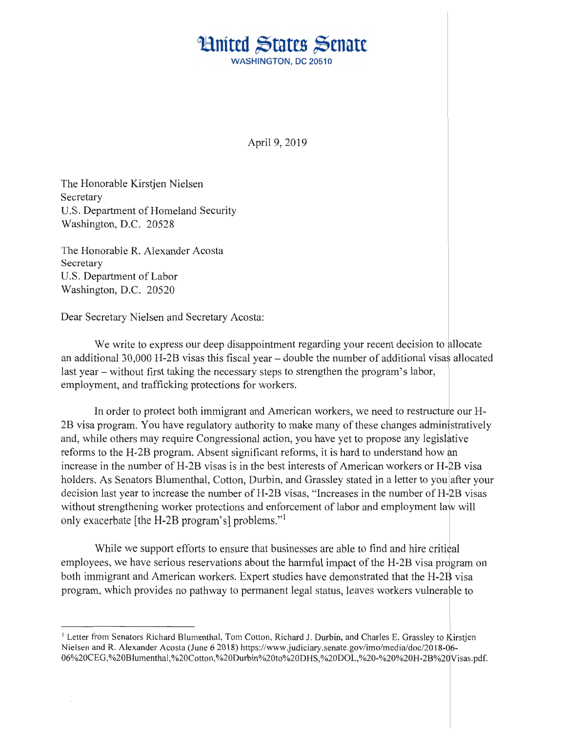## **Huited States Senate WASHINGTON, DC 20510**

April 9, 2019

The Honorable Kirstjen Nielsen Secretary U.S. Department of Homeland Security Washington, D.C. 20528

The Honorable R. Alexander Acosta Secretary U.S. Department of Labor Washington, D.C. 20520

Dear Secretary Nielsen and Secretary Acosta:

We write to express our deep disappointment regarding your recent decision to allocate an additional 30,000 H-2B visas this fiscal year – double the number of additional visas allocated last year - without first taking the necessary steps to strengthen the program's labor, employment, and trafficking protections for workers.

In order to protect both immigrant and American workers, we need to restructure our H-2B visa program. You have regulatory authority to make many of these changes administratively and, while others may require Congressional action, you have yet to propose any legislative reforms to the H-2B program. Absent significant reforms, it is hard to understand how an increase in the number of H-2B visas is in the best interests of American workers or H-2B visa holders. As Senators Blumenthal, Cotton, Durbin, and Grassley stated in a letter to you after your decision last year to increase the number of  $H-2B$  visas, "Increases in the number of  $H-2B$  visas without strengthening worker protections and enforcement of labor and employment law will only exacerbate [the H-2B program's] problems."

While we support efforts to ensure that businesses are able to find and hire critical employees, we have serious reservations about the harmful impact of the H-2B visa program on both immigrant and American workers. Expert studies have demonstrated that the H-2B visa program, which provides no pathway to permanent legal status, leaves workers vulnerable to

<sup>&</sup>lt;sup>1</sup> Letter from Senators Richard Blumenthal, Tom Cotton, Richard J. Durbin, and Charles E. Grassley to Kirstjen Nielsen and R. Alexander Acosta (June 62018) https://www .judiciary.senate.gov/irno/media/doc/2018-d6- 06%20CEG,%20Blumenthal,%20Cotton,%20Durbin%20to%20DHS,%20DOL,%20-%20%20H-28%2QVisas.pdf.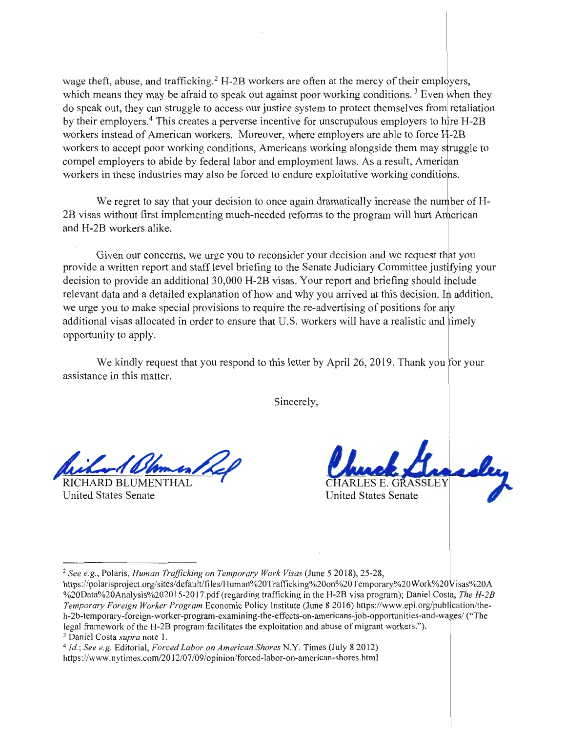wage theft, abuse, and trafficking.<sup>2</sup> H-2B workers are often at the mercy of their employers, which means they may be afraid to speak out against poor working conditions.<sup>3</sup> Even when they do speak out, they can struggle to access our justice system to protect themselves from retaliation by their employers.<sup>4</sup> This creates a perverse incentive for unscrupulous employers to hire  $H$ -2B workers instead of American workers. Moreover, where employers are able to force H-2B workers to accept poor working conditions, Americans working alongside them may struggle to compel employers to abide by federal labor and employment laws. As a result, American workers in these industries may also be forced to endure exploitative working conditions.

We regret to say that your decision to once again dramatically increase the number of H-2B visas without first implementing much-needed reforms to the program will hurt A and H-2B workers alike.

Given our concerns, we urge you to reconsider your decision and we request that you provide a written report and staff level briefing to the Senate Judiciary Committee justifying your decision to provide an additional 30,000 H-2B visas. Your report and briefing should include relevant data and a detailed explanation of how and why you arrived at this decision. In addition, we urge you to make special provisions to require the re-advertising of positions for any additional visas allocated in order to ensure that U.S. workers will have a realistic and imely opportunity to apply.

We kindly request that you respond to this letter by April 26, 2019. Thank you for your assistance in this matter.

Sincerely,

Ulmmen/Lel

RICHARD BLUMENTHAL United States Senate

CHARLES E. GRASSLEY United States Senate

<sup>3</sup> Daniel Costa *supra* note 1.<br><sup>4</sup> *Id.; See e.g. E*ditorial, *Forced Labor on American Shores* N.Y. Times (July 8 2012) https://www.nytimes.com/2012/07/09/opinion/forced-labor-on-american-shores.html

<sup>2</sup>*See e.g.,* Polaris, *Human Trafficking on Temporary Work Visas* (June 5 2018), 25-28,

https://polarisproject.org/sites/default/files/Human%20Trafficking%20on%20Temporary%20Work%20Wisas%20A %20Data%20Analysis%202015-2017.pdf (regarding trafficking in the H-2B visa program); Daniel Costa, The H-2B *Temporary Foreign Worker Program* Economic Policy Institute (June 8 2016) https://www.epi.org/publication/theh-2b-temporary-foreign-worker-program-examining-the-effects-on-americans-job-opportunities-and-wages/ ("The legal framework of the H-2B program facilitates the exploitation and abuse of migrant workers.").